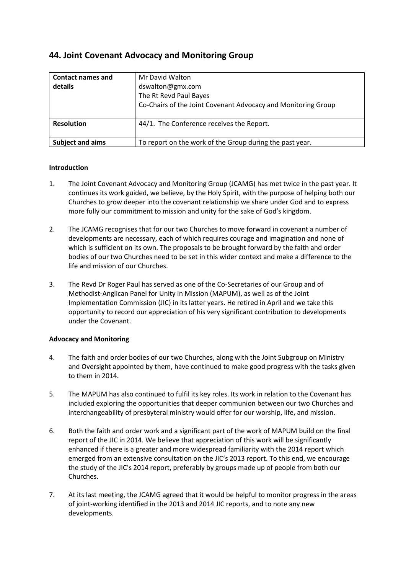# **44. Joint Covenant Advocacy and Monitoring Group**

| <b>Contact names and</b><br>details | Mr David Walton<br>dswalton@gmx.com<br>The Rt Revd Paul Bayes<br>Co-Chairs of the Joint Covenant Advocacy and Monitoring Group |
|-------------------------------------|--------------------------------------------------------------------------------------------------------------------------------|
| <b>Resolution</b>                   | 44/1. The Conference receives the Report.                                                                                      |
| Subject and aims                    | To report on the work of the Group during the past year.                                                                       |

### **Introduction**

- 1. The Joint Covenant Advocacy and Monitoring Group (JCAMG) has met twice in the past year. It continues its work guided, we believe, by the Holy Spirit, with the purpose of helping both our Churches to grow deeper into the covenant relationship we share under God and to express more fully our commitment to mission and unity for the sake of God's kingdom.
- 2. The JCAMG recognises that for our two Churches to move forward in covenant a number of developments are necessary, each of which requires courage and imagination and none of which is sufficient on its own. The proposals to be brought forward by the faith and order bodies of our two Churches need to be set in this wider context and make a difference to the life and mission of our Churches.
- 3. The Revd Dr Roger Paul has served as one of the Co-Secretaries of our Group and of Methodist-Anglican Panel for Unity in Mission (MAPUM), as well as of the Joint Implementation Commission (JIC) in its latter years. He retired in April and we take this opportunity to record our appreciation of his very significant contribution to developments under the Covenant.

## **Advocacy and Monitoring**

- 4. The faith and order bodies of our two Churches, along with the Joint Subgroup on Ministry and Oversight appointed by them, have continued to make good progress with the tasks given to them in 2014.
- 5. The MAPUM has also continued to fulfil its key roles. Its work in relation to the Covenant has included exploring the opportunities that deeper communion between our two Churches and interchangeability of presbyteral ministry would offer for our worship, life, and mission.
- 6. Both the faith and order work and a significant part of the work of MAPUM build on the final report of the JIC in 2014. We believe that appreciation of this work will be significantly enhanced if there is a greater and more widespread familiarity with the 2014 report which emerged from an extensive consultation on the JIC's 2013 report. To this end, we encourage the study of the JIC's 2014 report, preferably by groups made up of people from both our Churches.
- 7. At its last meeting, the JCAMG agreed that it would be helpful to monitor progress in the areas of joint-working identified in the 2013 and 2014 JIC reports, and to note any new developments.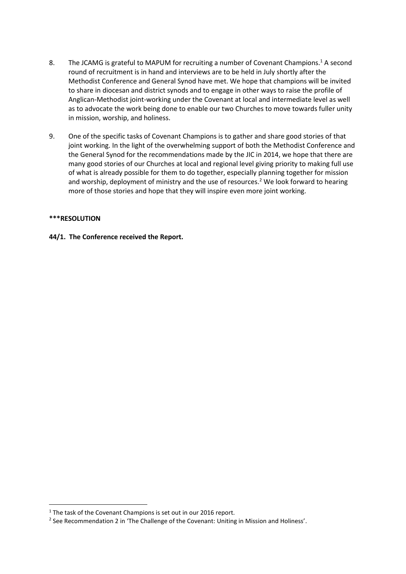- 8. The JCAMG is grateful to MAPUM for recruiting a number of Covenant Champions.<sup>1</sup> A second round of recruitment is in hand and interviews are to be held in July shortly after the Methodist Conference and General Synod have met. We hope that champions will be invited to share in diocesan and district synods and to engage in other ways to raise the profile of Anglican-Methodist joint-working under the Covenant at local and intermediate level as well as to advocate the work being done to enable our two Churches to move towards fuller unity in mission, worship, and holiness.
- 9. One of the specific tasks of Covenant Champions is to gather and share good stories of that joint working. In the light of the overwhelming support of both the Methodist Conference and the General Synod for the recommendations made by the JIC in 2014, we hope that there are many good stories of our Churches at local and regional level giving priority to making full use of what is already possible for them to do together, especially planning together for mission and worship, deployment of ministry and the use of resources.<sup>2</sup> We look forward to hearing more of those stories and hope that they will inspire even more joint working.

### **\*\*\*RESOLUTION**

1

#### **44/1. The Conference received the Report.**

 $1$  The task of the Covenant Champions is set out in our 2016 report.

<sup>&</sup>lt;sup>2</sup> See Recommendation 2 in 'The Challenge of the Covenant: Uniting in Mission and Holiness'.